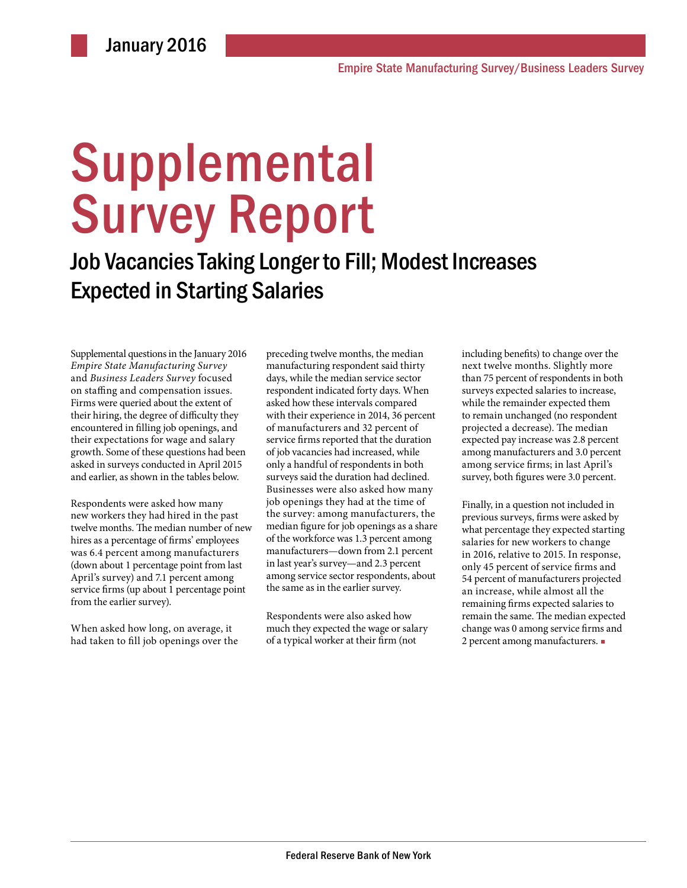# **Supplemental** Survey Report

### Job Vacancies Taking Longer to Fill; Modest Increases Expected in Starting Salaries

Supplemental questions in the January 2016 *Empire State Manufacturing Survey* and *Business Leaders Survey* focused on staffing and compensation issues. Firms were queried about the extent of their hiring, the degree of difficulty they encountered in filling job openings, and their expectations for wage and salary growth. Some of these questions had been asked in surveys conducted in April 2015 and earlier, as shown in the tables below.

Respondents were asked how many new workers they had hired in the past twelve months. The median number of new hires as a percentage of firms' employees was 6.4 percent among manufacturers (down about 1 percentage point from last April's survey) and 7.1 percent among service firms (up about 1 percentage point from the earlier survey).

When asked how long, on average, it had taken to fill job openings over the

preceding twelve months, the median manufacturing respondent said thirty days, while the median service sector respondent indicated forty days. When asked how these intervals compared with their experience in 2014, 36 percent of manufacturers and 32 percent of service firms reported that the duration of job vacancies had increased, while only a handful of respondents in both surveys said the duration had declined. Businesses were also asked how many job openings they had at the time of the survey: among manufacturers, the median figure for job openings as a share of the workforce was 1.3 percent among manufacturers—down from 2.1 percent in last year's survey—and 2.3 percent among service sector respondents, about the same as in the earlier survey.

Respondents were also asked how much they expected the wage or salary of a typical worker at their firm (not

including benefits) to change over the next twelve months. Slightly more than 75 percent of respondents in both surveys expected salaries to increase, while the remainder expected them to remain unchanged (no respondent projected a decrease). The median expected pay increase was 2.8 percent among manufacturers and 3.0 percent among service firms; in last April's survey, both figures were 3.0 percent.

Finally, in a question not included in previous surveys, firms were asked by what percentage they expected starting salaries for new workers to change in 2016, relative to 2015. In response, only 45 percent of service firms and 54 percent of manufacturers projected an increase, while almost all the remaining firms expected salaries to remain the same. The median expected change was 0 among service firms and 2 percent among manufacturers. ■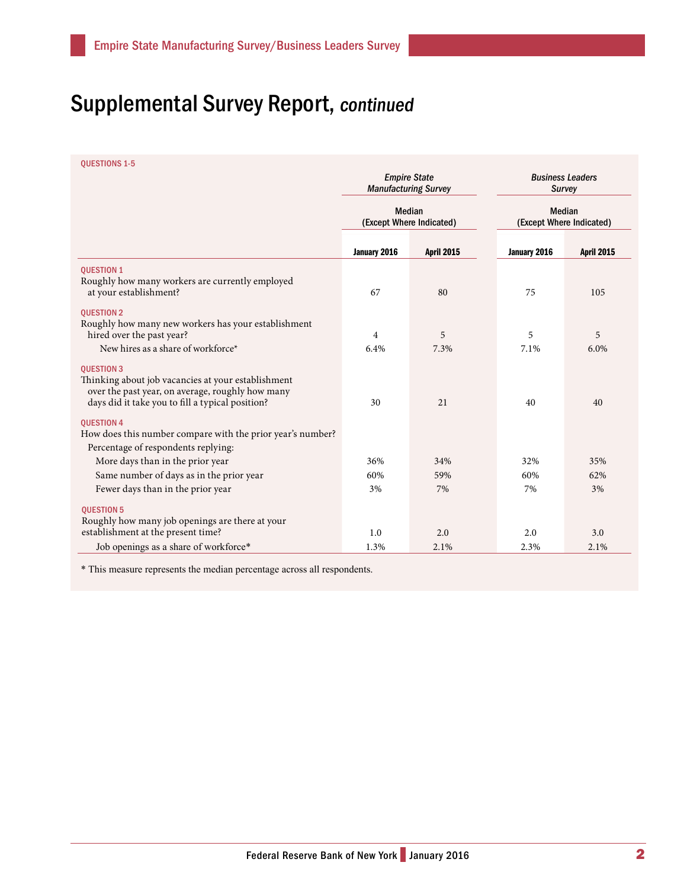## Supplemental Survey Report, continued

QUESTIONS 1-5

|                                                                                                                                                                                 | <b>Manufacturing Survey</b> | <b>Empire State</b>      | <b>Business Leaders</b><br><b>Survey</b>  |                   |  |  |
|---------------------------------------------------------------------------------------------------------------------------------------------------------------------------------|-----------------------------|--------------------------|-------------------------------------------|-------------------|--|--|
|                                                                                                                                                                                 | <b>Median</b>               | (Except Where Indicated) | <b>Median</b><br>(Except Where Indicated) |                   |  |  |
|                                                                                                                                                                                 | January 2016                | <b>April 2015</b>        | January 2016                              | <b>April 2015</b> |  |  |
| <b>OUESTION 1</b><br>Roughly how many workers are currently employed<br>at your establishment?                                                                                  | 67                          | 80                       | 75                                        | 105               |  |  |
| <b>QUESTION 2</b><br>Roughly how many new workers has your establishment<br>hired over the past year?<br>New hires as a share of workforce*                                     | 4<br>6.4%                   | 5<br>7.3%                | 5<br>7.1%                                 | 5<br>6.0%         |  |  |
| <b>QUESTION 3</b><br>Thinking about job vacancies at your establishment<br>over the past year, on average, roughly how many<br>days did it take you to fill a typical position? | 30                          | 21                       | 40                                        | 40                |  |  |
| <b>QUESTION 4</b><br>How does this number compare with the prior year's number?<br>Percentage of respondents replying:                                                          |                             |                          |                                           |                   |  |  |
| More days than in the prior year                                                                                                                                                | 36%                         | 34%                      | 32%                                       | 35%               |  |  |
| Same number of days as in the prior year                                                                                                                                        | 60%                         | 59%                      | 60%                                       | 62%               |  |  |
| Fewer days than in the prior year                                                                                                                                               | 3%                          | 7%                       | 7%                                        | 3%                |  |  |
| <b>QUESTION 5</b><br>Roughly how many job openings are there at your<br>establishment at the present time?                                                                      | 1.0                         | 2.0                      | 2.0                                       | 3.0               |  |  |
| Job openings as a share of workforce*                                                                                                                                           | 1.3%                        | 2.1%                     | 2.3%                                      | 2.1%              |  |  |

\* This measure represents the median percentage across all respondents.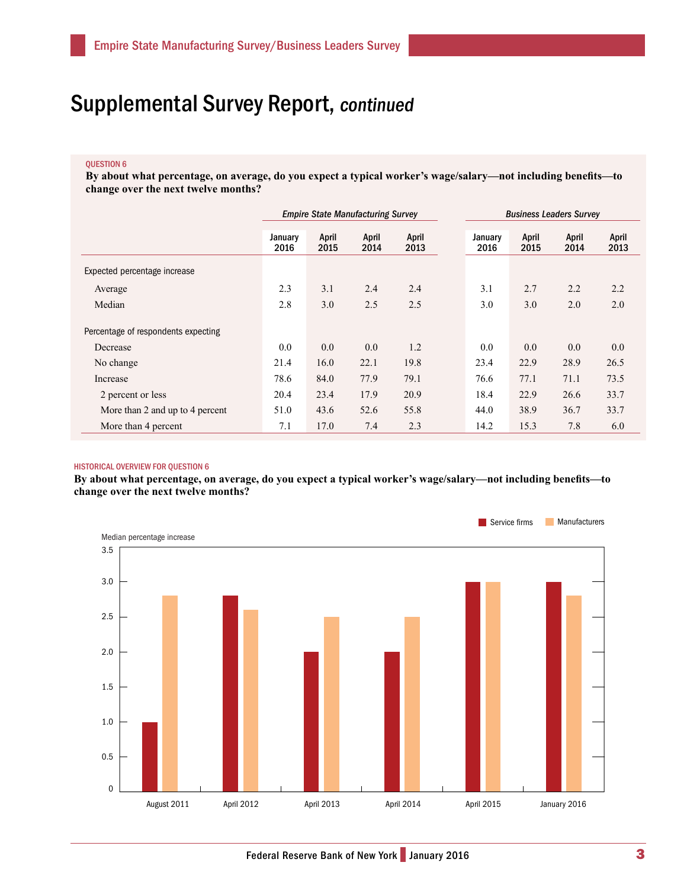### Supplemental Survey Report, continued

#### QUESTION 6

**By about what percentage, on average, do you expect a typical worker's wage/salary—not including benefits—to change over the next twelve months?**

|                                     | <b>Empire State Manufacturing Survey</b> |               |               | <b>Business Leaders Survey</b> |                 |               |               |               |
|-------------------------------------|------------------------------------------|---------------|---------------|--------------------------------|-----------------|---------------|---------------|---------------|
|                                     | January<br>2016                          | April<br>2015 | April<br>2014 | April<br>2013                  | January<br>2016 | April<br>2015 | April<br>2014 | April<br>2013 |
| Expected percentage increase        |                                          |               |               |                                |                 |               |               |               |
| Average                             | 2.3                                      | 3.1           | 2.4           | 2.4                            | 3.1             | 2.7           | 2.2           | 2.2           |
| Median                              | 2.8                                      | 3.0           | 2.5           | 2.5                            | 3.0             | 3.0           | 2.0           | 2.0           |
| Percentage of respondents expecting |                                          |               |               |                                |                 |               |               |               |
| Decrease                            | 0.0                                      | 0.0           | 0.0           | 1.2                            | 0.0             | 0.0           | 0.0           | 0.0           |
| No change                           | 21.4                                     | 16.0          | 22.1          | 19.8                           | 23.4            | 22.9          | 28.9          | 26.5          |
| Increase                            | 78.6                                     | 84.0          | 77.9          | 79.1                           | 76.6            | 77.1          | 71.1          | 73.5          |
| 2 percent or less                   | 20.4                                     | 23.4          | 17.9          | 20.9                           | 18.4            | 22.9          | 26.6          | 33.7          |
| More than 2 and up to 4 percent     | 51.0                                     | 43.6          | 52.6          | 55.8                           | 44.0            | 38.9          | 36.7          | 33.7          |
| More than 4 percent                 | 7.1                                      | 17.0          | 7.4           | 2.3                            | 14.2            | 15.3          | 7.8           | 6.0           |

#### HISTORICAL OVERVIEW FOR QUESTION 6

**By about what percentage, on average, do you expect a typical worker's wage/salary—not including benefits—to change over the next twelve months?**